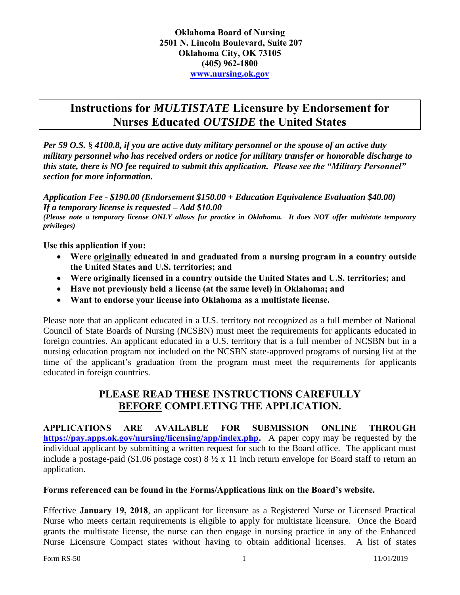### **Oklahoma Board of Nursing 2501 N. Lincoln Boulevard, Suite 207 Oklahoma City, OK 73105 (405) 962-1800 [www.nursing.ok.gov](http://www.ok.gov/nursing)**

### **Instructions for** *MULTISTATE* **Licensure by Endorsement for Nurses Educated** *OUTSIDE* **the United States**

*Per 59 O.S.* § *4100.8, if you are active duty military personnel or the spouse of an active duty military personnel who has received orders or notice for military transfer or honorable discharge to this state, there is NO fee required to submit this application. Please see the "Military Personnel" section for more information.* 

*Application Fee - \$190.00 (Endorsement \$150.00 + Education Equivalence Evaluation \$40.00) If a temporary license is requested – Add \$10.00*

*(Please note a temporary license ONLY allows for practice in Oklahoma. It does NOT offer multistate temporary privileges)*

**Use this application if you:**

- **Were originally educated in and graduated from a nursing program in a country outside the United States and U.S. territories; and**
- **Were originally licensed in a country outside the United States and U.S. territories; and**
- **Have not previously held a license (at the same level) in Oklahoma; and**
- **Want to endorse your license into Oklahoma as a multistate license.**

Please note that an applicant educated in a U.S. territory not recognized as a full member of National Council of State Boards of Nursing (NCSBN) must meet the requirements for applicants educated in foreign countries. An applicant educated in a U.S. territory that is a full member of NCSBN but in a nursing education program not included on the NCSBN state-approved programs of nursing list at the time of the applicant's graduation from the program must meet the requirements for applicants educated in foreign countries.

### **PLEASE READ THESE INSTRUCTIONS CAREFULLY BEFORE COMPLETING THE APPLICATION.**

**APPLICATIONS ARE AVAILABLE FOR SUBMISSION ONLINE THROUGH [https://pay.apps.ok.gov/nursing/licensing/app/index.php.](https://pay.apps.ok.gov/nursing/licensing/app/index.php)** A paper copy may be requested by the individual applicant by submitting a written request for such to the Board office. The applicant must include a postage-paid (\$1.06 postage cost) 8 ½ x 11 inch return envelope for Board staff to return an application.

### **Forms referenced can be found in the Forms/Applications link on the Board's website.**

Effective **January 19, 2018**, an applicant for licensure as a Registered Nurse or Licensed Practical Nurse who meets certain requirements is eligible to apply for multistate licensure. Once the Board grants the multistate license, the nurse can then engage in nursing practice in any of the Enhanced Nurse Licensure Compact states without having to obtain additional licenses. A list of states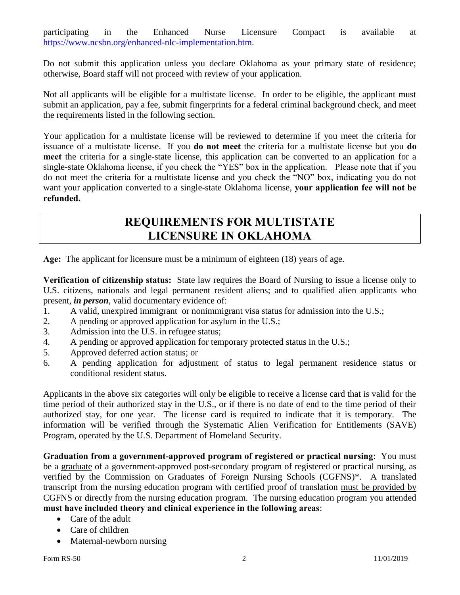participating in the Enhanced Nurse Licensure Compact is available at [https://www.ncsbn.org/enhanced-nlc-implementation.htm.](https://www.ncsbn.org/enhanced-nlc-implementation.htm)

Do not submit this application unless you declare Oklahoma as your primary state of residence; otherwise, Board staff will not proceed with review of your application.

Not all applicants will be eligible for a multistate license. In order to be eligible, the applicant must submit an application, pay a fee, submit fingerprints for a federal criminal background check, and meet the requirements listed in the following section.

Your application for a multistate license will be reviewed to determine if you meet the criteria for issuance of a multistate license. If you **do not meet** the criteria for a multistate license but you **do meet** the criteria for a single-state license, this application can be converted to an application for a single-state Oklahoma license, if you check the "YES" box in the application. Please note that if you do not meet the criteria for a multistate license and you check the "NO" box, indicating you do not want your application converted to a single-state Oklahoma license, **your application fee will not be refunded.** 

## **REQUIREMENTS FOR MULTISTATE LICENSURE IN OKLAHOMA**

**Age:** The applicant for licensure must be a minimum of eighteen (18) years of age.

**Verification of citizenship status:** State law requires the Board of Nursing to issue a license only to U.S. citizens, nationals and legal permanent resident aliens; and to qualified alien applicants who present, *in person*, valid documentary evidence of:

- 1. A valid, unexpired immigrant or nonimmigrant visa status for admission into the U.S.;
- 2. A pending or approved application for asylum in the U.S.;
- 3. Admission into the U.S. in refugee status;
- 4. A pending or approved application for temporary protected status in the U.S.;
- 5. Approved deferred action status; or
- 6. A pending application for adjustment of status to legal permanent residence status or conditional resident status.

Applicants in the above six categories will only be eligible to receive a license card that is valid for the time period of their authorized stay in the U.S., or if there is no date of end to the time period of their authorized stay, for one year. The license card is required to indicate that it is temporary. The information will be verified through the Systematic Alien Verification for Entitlements (SAVE) Program, operated by the U.S. Department of Homeland Security.

**Graduation from a government-approved program of registered or practical nursing**: You must be a graduate of a government-approved post-secondary program of registered or practical nursing, as verified by the Commission on Graduates of Foreign Nursing Schools (CGFNS)\*. A translated transcript from the nursing education program with certified proof of translation must be provided by CGFNS or directly from the nursing education program. The nursing education program you attended **must have included theory and clinical experience in the following areas**:

- Care of the adult
- Care of children
- Maternal-newborn nursing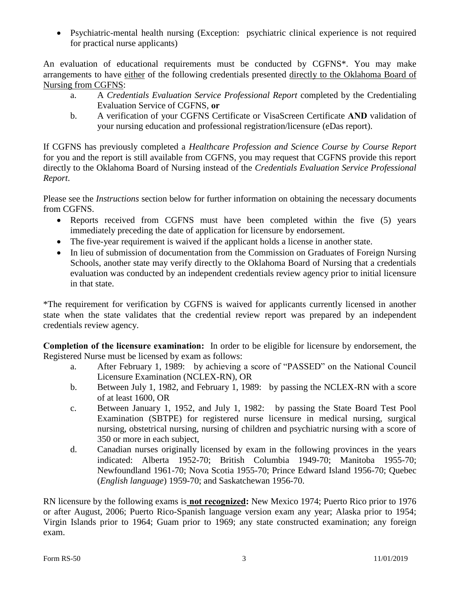Psychiatric-mental health nursing (Exception: psychiatric clinical experience is not required for practical nurse applicants)

An evaluation of educational requirements must be conducted by CGFNS\*. You may make arrangements to have either of the following credentials presented directly to the Oklahoma Board of Nursing from CGFNS:

- a. A *Credentials Evaluation Service Professional Report* completed by the Credentialing Evaluation Service of CGFNS, **or**
- b. A verification of your CGFNS Certificate or VisaScreen Certificate **AND** validation of your nursing education and professional registration/licensure (eDas report).

If CGFNS has previously completed a *Healthcare Profession and Science Course by Course Report* for you and the report is still available from CGFNS, you may request that CGFNS provide this report directly to the Oklahoma Board of Nursing instead of the *Credentials Evaluation Service Professional Report*.

Please see the *Instructions* section below for further information on obtaining the necessary documents from CGFNS.

- Reports received from CGFNS must have been completed within the five (5) years immediately preceding the date of application for licensure by endorsement.
- The five-year requirement is waived if the applicant holds a license in another state.
- In lieu of submission of documentation from the Commission on Graduates of Foreign Nursing Schools, another state may verify directly to the Oklahoma Board of Nursing that a credentials evaluation was conducted by an independent credentials review agency prior to initial licensure in that state.

\*The requirement for verification by CGFNS is waived for applicants currently licensed in another state when the state validates that the credential review report was prepared by an independent credentials review agency.

**Completion of the licensure examination:** In order to be eligible for licensure by endorsement, the Registered Nurse must be licensed by exam as follows:

- a. After February 1, 1989: by achieving a score of "PASSED" on the National Council Licensure Examination (NCLEX-RN), OR
- b. Between July 1, 1982, and February 1, 1989: by passing the NCLEX-RN with a score of at least 1600, OR
- c. Between January 1, 1952, and July 1, 1982: by passing the State Board Test Pool Examination (SBTPE) for registered nurse licensure in medical nursing, surgical nursing, obstetrical nursing, nursing of children and psychiatric nursing with a score of 350 or more in each subject,
- d. Canadian nurses originally licensed by exam in the following provinces in the years indicated: Alberta 1952-70; British Columbia 1949-70; Manitoba 1955-70; Newfoundland 1961-70; Nova Scotia 1955-70; Prince Edward Island 1956-70; Quebec (*English language*) 1959-70; and Saskatchewan 1956-70.

RN licensure by the following exams is **not recognized:** New Mexico 1974; Puerto Rico prior to 1976 or after August, 2006; Puerto Rico-Spanish language version exam any year; Alaska prior to 1954; Virgin Islands prior to 1964; Guam prior to 1969; any state constructed examination; any foreign exam.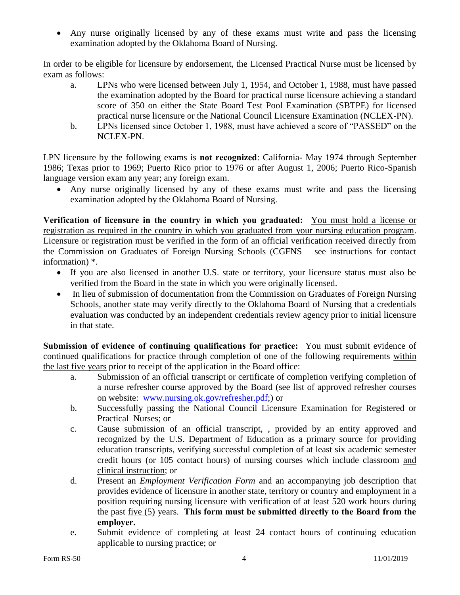Any nurse originally licensed by any of these exams must write and pass the licensing examination adopted by the Oklahoma Board of Nursing.

In order to be eligible for licensure by endorsement, the Licensed Practical Nurse must be licensed by exam as follows:

- a. LPNs who were licensed between July 1, 1954, and October 1, 1988, must have passed the examination adopted by the Board for practical nurse licensure achieving a standard score of 350 on either the State Board Test Pool Examination (SBTPE) for licensed practical nurse licensure or the National Council Licensure Examination (NCLEX-PN).
- b. LPNs licensed since October 1, 1988, must have achieved a score of "PASSED" on the NCLEX-PN.

LPN licensure by the following exams is **not recognized**: California- May 1974 through September 1986; Texas prior to 1969; Puerto Rico prior to 1976 or after August 1, 2006; Puerto Rico-Spanish language version exam any year; any foreign exam.

 Any nurse originally licensed by any of these exams must write and pass the licensing examination adopted by the Oklahoma Board of Nursing.

**Verification of licensure in the country in which you graduated:** You must hold a license or registration as required in the country in which you graduated from your nursing education program. Licensure or registration must be verified in the form of an official verification received directly from the Commission on Graduates of Foreign Nursing Schools (CGFNS – see instructions for contact information) \*.

- If you are also licensed in another U.S. state or territory, your licensure status must also be verified from the Board in the state in which you were originally licensed.
- In lieu of submission of documentation from the Commission on Graduates of Foreign Nursing Schools, another state may verify directly to the Oklahoma Board of Nursing that a credentials evaluation was conducted by an independent credentials review agency prior to initial licensure in that state.

**Submission of evidence of continuing qualifications for practice:** You must submit evidence of continued qualifications for practice through completion of one of the following requirements within the last five years prior to receipt of the application in the Board office:

- a. Submission of an official transcript or certificate of completion verifying completion of a nurse refresher course approved by the Board (see list of approved refresher courses on website: [www.nursing.ok.gov/refresher.pdf;](http://www.ok.gov/nursing/refresher.pdf)) or
- b. Successfully passing the National Council Licensure Examination for Registered or Practical Nurses; or
- c. Cause submission of an official transcript, , provided by an entity approved and recognized by the U.S. Department of Education as a primary source for providing education transcripts, verifying successful completion of at least six academic semester credit hours (or 105 contact hours) of nursing courses which include classroom and clinical instruction; or
- d. Present an *Employment Verification Form* and an accompanying job description that provides evidence of licensure in another state, territory or country and employment in a position requiring nursing licensure with verification of at least 520 work hours during the past five (5) years. **This form must be submitted directly to the Board from the employer.**
- e. Submit evidence of completing at least 24 contact hours of continuing education applicable to nursing practice; or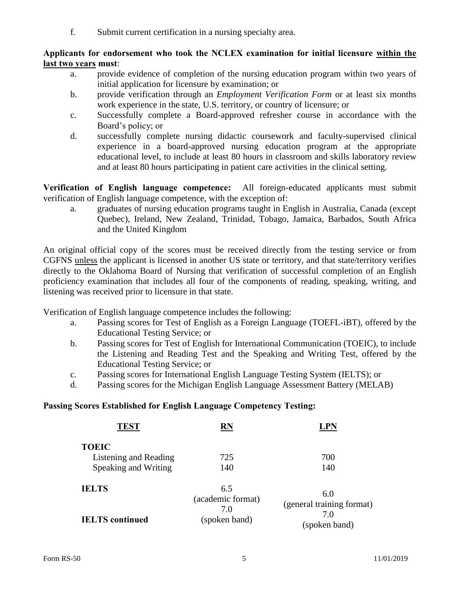f. Submit current certification in a nursing specialty area.

### **Applicants for endorsement who took the NCLEX examination for initial licensure within the last two years must**:

- a. provide evidence of completion of the nursing education program within two years of initial application for licensure by examination; or
- b. provide verification through an *Employment Verification Form* or at least six months work experience in the state, U.S. territory, or country of licensure; or
- c. Successfully complete a Board-approved refresher course in accordance with the Board's policy; or
- d. successfully complete nursing didactic coursework and faculty-supervised clinical experience in a board-approved nursing education program at the appropriate educational level, to include at least 80 hours in classroom and skills laboratory review and at least 80 hours participating in patient care activities in the clinical setting.

**Verification of English language competence:** All foreign-educated applicants must submit verification of English language competence, with the exception of:

a. graduates of nursing education programs taught in English in Australia, Canada (except Quebec), Ireland, New Zealand, Trinidad, Tobago, Jamaica, Barbados, South Africa and the United Kingdom

An original official copy of the scores must be received directly from the testing service or from CGFNS unless the applicant is licensed in another US state or territory, and that state/territory verifies directly to the Oklahoma Board of Nursing that verification of successful completion of an English proficiency examination that includes all four of the components of reading, speaking, writing, and listening was received prior to licensure in that state.

Verification of English language competence includes the following:

- a. Passing scores for Test of English as a Foreign Language (TOEFL-iBT), offered by the Educational Testing Service; or
- b. Passing scores for Test of English for International Communication (TOEIC), to include the Listening and Reading Test and the Speaking and Writing Test, offered by the Educational Testing Service; or
- c. Passing scores for International English Language Testing System (IELTS); or
- d. Passing scores for the Michigan English Language Assessment Battery (MELAB)

### **Passing Scores Established for English Language Competency Testing:**

| <b>TEST</b>                                                   | RN                              | $\mathbf{P}$ N                   |
|---------------------------------------------------------------|---------------------------------|----------------------------------|
| <b>TOEIC</b><br>Listening and Reading<br>Speaking and Writing | 725<br>140                      | 700<br>140                       |
| <b>IELTS</b>                                                  | 6.5<br>(academic format)<br>7.0 | 6.0<br>(general training format) |
| <b>IELTS</b> continued                                        | (spoken band)                   | 7.0<br>(spoken band)             |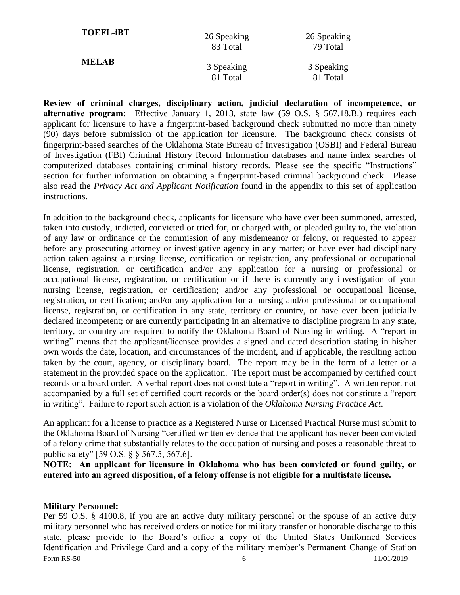| <b>TOEFL-iBT</b> | 26 Speaking<br>83 Total | 26 Speaking<br>79 Total |
|------------------|-------------------------|-------------------------|
| <b>MELAB</b>     | 3 Speaking<br>81 Total  | 3 Speaking<br>81 Total  |

**Review of criminal charges, disciplinary action, judicial declaration of incompetence, or alternative program:** Effective January 1, 2013, state law (59 O.S. § 567.18.B.) requires each applicant for licensure to have a fingerprint-based background check submitted no more than ninety (90) days before submission of the application for licensure. The background check consists of fingerprint-based searches of the Oklahoma State Bureau of Investigation (OSBI) and Federal Bureau of Investigation (FBI) Criminal History Record Information databases and name index searches of computerized databases containing criminal history records. Please see the specific "Instructions" section for further information on obtaining a fingerprint-based criminal background check. Please also read the *Privacy Act and Applicant Notification* found in the appendix to this set of application instructions.

In addition to the background check, applicants for licensure who have ever been summoned, arrested, taken into custody, indicted, convicted or tried for, or charged with, or pleaded guilty to, the violation of any law or ordinance or the commission of any misdemeanor or felony, or requested to appear before any prosecuting attorney or investigative agency in any matter; or have ever had disciplinary action taken against a nursing license, certification or registration, any professional or occupational license, registration, or certification and/or any application for a nursing or professional or occupational license, registration, or certification or if there is currently any investigation of your nursing license, registration, or certification; and/or any professional or occupational license, registration, or certification; and/or any application for a nursing and/or professional or occupational license, registration, or certification in any state, territory or country, or have ever been judicially declared incompetent; or are currently participating in an alternative to discipline program in any state, territory, or country are required to notify the Oklahoma Board of Nursing in writing. A "report in writing" means that the applicant/licensee provides a signed and dated description stating in his/her own words the date, location, and circumstances of the incident, and if applicable, the resulting action taken by the court, agency, or disciplinary board. The report may be in the form of a letter or a statement in the provided space on the application. The report must be accompanied by certified court records or a board order. A verbal report does not constitute a "report in writing". A written report not accompanied by a full set of certified court records or the board order(s) does not constitute a "report in writing". Failure to report such action is a violation of the *Oklahoma Nursing Practice Act*.

An applicant for a license to practice as a Registered Nurse or Licensed Practical Nurse must submit to the Oklahoma Board of Nursing "certified written evidence that the applicant has never been convicted of a felony crime that substantially relates to the occupation of nursing and poses a reasonable threat to public safety" [59 O.S. § § 567.5, 567.6].

**NOTE: An applicant for licensure in Oklahoma who has been convicted or found guilty, or entered into an agreed disposition, of a felony offense is not eligible for a multistate license.**

### **Military Personnel:**

Form RS-50 11/01/2019 Per 59 O.S. § 4100.8, if you are an active duty military personnel or the spouse of an active duty military personnel who has received orders or notice for military transfer or honorable discharge to this state, please provide to the Board's office a copy of the United States Uniformed Services Identification and Privilege Card and a copy of the military member's Permanent Change of Station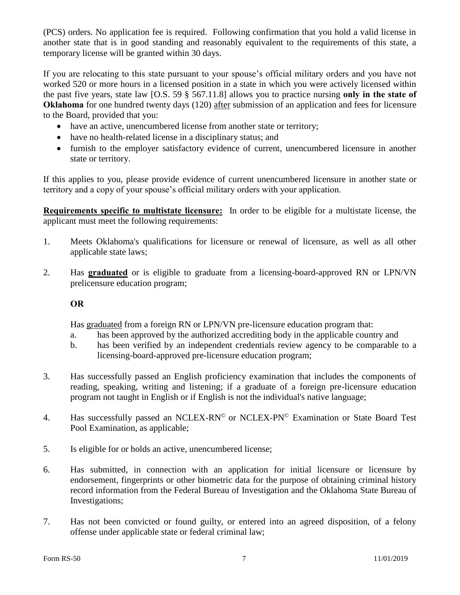(PCS) orders. No application fee is required. Following confirmation that you hold a valid license in another state that is in good standing and reasonably equivalent to the requirements of this state, a temporary license will be granted within 30 days.

If you are relocating to this state pursuant to your spouse's official military orders and you have not worked 520 or more hours in a licensed position in a state in which you were actively licensed within the past five years, state law [O.S. 59 § 567.11.8] allows you to practice nursing **only in the state of Oklahoma** for one hundred twenty days (120) after submission of an application and fees for licensure to the Board, provided that you:

- have an active, unencumbered license from another state or territory;
- have no health-related license in a disciplinary status; and
- furnish to the employer satisfactory evidence of current, unencumbered licensure in another state or territory.

If this applies to you, please provide evidence of current unencumbered licensure in another state or territory and a copy of your spouse's official military orders with your application.

**Requirements specific to multistate licensure:** In order to be eligible for a multistate license, the applicant must meet the following requirements:

- 1. Meets Oklahoma's qualifications for licensure or renewal of licensure, as well as all other applicable state laws;
- 2. Has **graduated** or is eligible to graduate from a licensing-board-approved RN or LPN/VN prelicensure education program;

### **OR**

Has graduated from a foreign RN or LPN/VN pre-licensure education program that:

- a. has been approved by the authorized accrediting body in the applicable country and
- b. has been verified by an independent credentials review agency to be comparable to a licensing-board-approved pre-licensure education program;
- 3. Has successfully passed an English proficiency examination that includes the components of reading, speaking, writing and listening; if a graduate of a foreign pre-licensure education program not taught in English or if English is not the individual's native language;
- 4. Has successfully passed an NCLEX-RN<sup>©</sup> or NCLEX-PN<sup>©</sup> Examination or State Board Test Pool Examination, as applicable;
- 5. Is eligible for or holds an active, unencumbered license;
- 6. Has submitted, in connection with an application for initial licensure or licensure by endorsement, fingerprints or other biometric data for the purpose of obtaining criminal history record information from the Federal Bureau of Investigation and the Oklahoma State Bureau of Investigations;
- 7. Has not been convicted or found guilty, or entered into an agreed disposition, of a felony offense under applicable state or federal criminal law;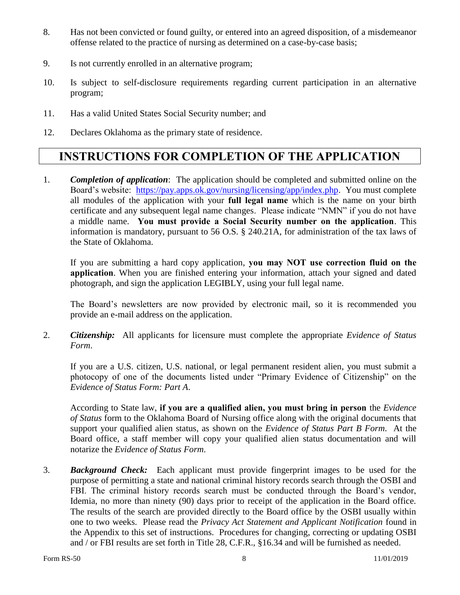- 8. Has not been convicted or found guilty, or entered into an agreed disposition, of a misdemeanor offense related to the practice of nursing as determined on a case-by-case basis;
- 9. Is not currently enrolled in an alternative program;
- 10. Is subject to self-disclosure requirements regarding current participation in an alternative program;
- 11. Has a valid United States Social Security number; and
- 12. Declares Oklahoma as the primary state of residence.

## **INSTRUCTIONS FOR COMPLETION OF THE APPLICATION**

1. *Completion of application*: The application should be completed and submitted online on the Board's website: [https://pay.apps.ok.gov/nursing/licensing/app/index.php.](https://pay.apps.ok.gov/nursing/licensing/app/index.php) You must complete all modules of the application with your **full legal name** which is the name on your birth certificate and any subsequent legal name changes. Please indicate "NMN" if you do not have a middle name. **You must provide a Social Security number on the application**. This information is mandatory, pursuant to 56 O.S. § 240.21A, for administration of the tax laws of the State of Oklahoma.

If you are submitting a hard copy application, **you may NOT use correction fluid on the application**. When you are finished entering your information, attach your signed and dated photograph, and sign the application LEGIBLY, using your full legal name.

The Board's newsletters are now provided by electronic mail, so it is recommended you provide an e-mail address on the application.

2. *Citizenship:* All applicants for licensure must complete the appropriate *Evidence of Status Form*.

If you are a U.S. citizen, U.S. national, or legal permanent resident alien, you must submit a photocopy of one of the documents listed under "Primary Evidence of Citizenship" on the *Evidence of Status Form: Part A*.

According to State law, **if you are a qualified alien, you must bring in person** the *Evidence of Status* form to the Oklahoma Board of Nursing office along with the original documents that support your qualified alien status, as shown on the *Evidence of Status Part B Form*. At the Board office, a staff member will copy your qualified alien status documentation and will notarize the *Evidence of Status Form*.

3. *Background Check:* Each applicant must provide fingerprint images to be used for the purpose of permitting a state and national criminal history records search through the OSBI and FBI. The criminal history records search must be conducted through the Board's vendor, Idemia, no more than ninety (90) days prior to receipt of the application in the Board office. The results of the search are provided directly to the Board office by the OSBI usually within one to two weeks. Please read the *Privacy Act Statement and Applicant Notification* found in the Appendix to this set of instructions. Procedures for changing, correcting or updating OSBI and / or FBI results are set forth in Title 28, C.F.R., §16.34 and will be furnished as needed.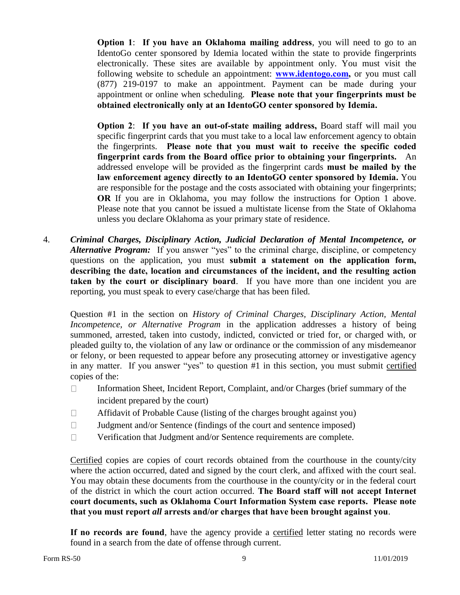**Option 1:** If you have an Oklahoma mailing address, you will need to go to an IdentoGo center sponsored by Idemia located within the state to provide fingerprints electronically. These sites are available by appointment only. You must visit the following website to schedule an appointment: **[www.identogo.com,](http://www.identogo.com/)** or you must call (877) 219-0197 to make an appointment. Payment can be made during your appointment or online when scheduling. **Please note that your fingerprints must be obtained electronically only at an IdentoGO center sponsored by Idemia.**

**Option 2**: **If you have an out-of-state mailing address,** Board staff will mail you specific fingerprint cards that you must take to a local law enforcement agency to obtain the fingerprints. **Please note that you must wait to receive the specific coded fingerprint cards from the Board office prior to obtaining your fingerprints.** An addressed envelope will be provided as the fingerprint cards **must be mailed by the law enforcement agency directly to an IdentoGO center sponsored by Idemia.** You are responsible for the postage and the costs associated with obtaining your fingerprints; **OR** If you are in Oklahoma, you may follow the instructions for Option 1 above. Please note that you cannot be issued a multistate license from the State of Oklahoma unless you declare Oklahoma as your primary state of residence.

4. *Criminal Charges, Disciplinary Action, Judicial Declaration of Mental Incompetence, or Alternative Program:* If you answer "yes" to the criminal charge, discipline, or competency questions on the application, you must **submit a statement on the application form, describing the date, location and circumstances of the incident, and the resulting action taken by the court or disciplinary board**. If you have more than one incident you are reporting, you must speak to every case/charge that has been filed.

Question #1 in the section on *History of Criminal Charges, Disciplinary Action, Mental Incompetence, or Alternative Program* in the application addresses a history of being summoned, arrested, taken into custody, indicted, convicted or tried for, or charged with, or pleaded guilty to, the violation of any law or ordinance or the commission of any misdemeanor or felony, or been requested to appear before any prosecuting attorney or investigative agency in any matter. If you answer "yes" to question #1 in this section, you must submit certified copies of the:

- $\Box$ Information Sheet, Incident Report, Complaint, and/or Charges (brief summary of the incident prepared by the court)
- $\Box$ Affidavit of Probable Cause (listing of the charges brought against you)
- $\Box$ Judgment and/or Sentence (findings of the court and sentence imposed)
- $\Box$ Verification that Judgment and/or Sentence requirements are complete.

Certified copies are copies of court records obtained from the courthouse in the county/city where the action occurred, dated and signed by the court clerk, and affixed with the court seal. You may obtain these documents from the courthouse in the county/city or in the federal court of the district in which the court action occurred. **The Board staff will not accept Internet court documents, such as Oklahoma Court Information System case reports. Please note that you must report** *all* **arrests and/or charges that have been brought against you**.

If no records are found, have the agency provide a certified letter stating no records were found in a search from the date of offense through current.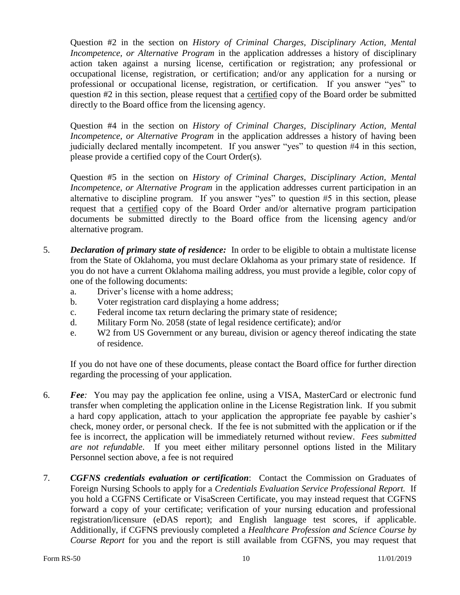Question #2 in the section on *History of Criminal Charges, Disciplinary Action, Mental Incompetence, or Alternative Program* in the application addresses a history of disciplinary action taken against a nursing license, certification or registration; any professional or occupational license, registration, or certification; and/or any application for a nursing or professional or occupational license, registration, or certification. If you answer "yes" to question #2 in this section, please request that a certified copy of the Board order be submitted directly to the Board office from the licensing agency.

Question #4 in the section on *History of Criminal Charges, Disciplinary Action, Mental Incompetence, or Alternative Program* in the application addresses a history of having been judicially declared mentally incompetent. If you answer "yes" to question #4 in this section, please provide a certified copy of the Court Order(s).

Question #5 in the section on *History of Criminal Charges, Disciplinary Action, Mental Incompetence, or Alternative Program* in the application addresses current participation in an alternative to discipline program. If you answer "yes" to question #5 in this section, please request that a certified copy of the Board Order and/or alternative program participation documents be submitted directly to the Board office from the licensing agency and/or alternative program.

- 5. *Declaration of primary state of residence:* In order to be eligible to obtain a multistate license from the State of Oklahoma, you must declare Oklahoma as your primary state of residence. If you do not have a current Oklahoma mailing address, you must provide a legible, color copy of one of the following documents:
	- a. Driver's license with a home address;
	- b. Voter registration card displaying a home address;
	- c. Federal income tax return declaring the primary state of residence;
	- d. Military Form No. 2058 (state of legal residence certificate); and/or
	- e. W2 from US Government or any bureau, division or agency thereof indicating the state of residence.

If you do not have one of these documents, please contact the Board office for further direction regarding the processing of your application.

- 6. *Fee:* You may pay the application fee online, using a VISA, MasterCard or electronic fund transfer when completing the application online in the License Registration link. If you submit a hard copy application, attach to your application the appropriate fee payable by cashier's check, money order, or personal check. If the fee is not submitted with the application or if the fee is incorrect, the application will be immediately returned without review. *Fees submitted are not refundable*. If you meet either military personnel options listed in the Military Personnel section above, a fee is not required
- 7. *CGFNS credentials evaluation or certification*: Contact the Commission on Graduates of Foreign Nursing Schools to apply for a *Credentials Evaluation Service Professional Report.* If you hold a CGFNS Certificate or VisaScreen Certificate, you may instead request that CGFNS forward a copy of your certificate; verification of your nursing education and professional registration/licensure (eDAS report); and English language test scores, if applicable. Additionally, if CGFNS previously completed a *Healthcare Profession and Science Course by Course Report* for you and the report is still available from CGFNS, you may request that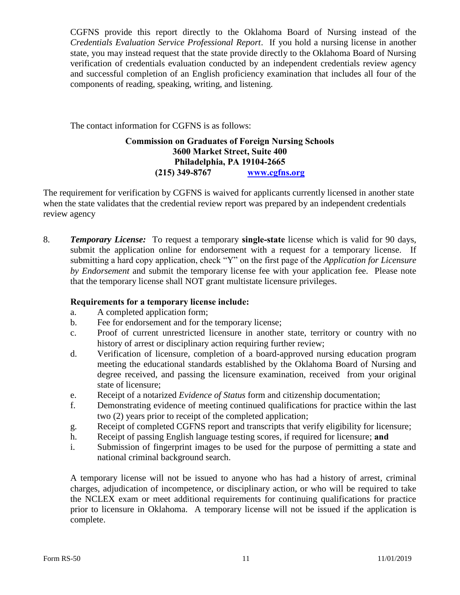CGFNS provide this report directly to the Oklahoma Board of Nursing instead of the *Credentials Evaluation Service Professional Report*. If you hold a nursing license in another state, you may instead request that the state provide directly to the Oklahoma Board of Nursing verification of credentials evaluation conducted by an independent credentials review agency and successful completion of an English proficiency examination that includes all four of the components of reading, speaking, writing, and listening.

The contact information for CGFNS is as follows:

### **Commission on Graduates of Foreign Nursing Schools 3600 Market Street, Suite 400 Philadelphia, PA 19104-2665 (215) 349-8767 [www.cgfns.org](http://www.cgfns.org/)**

The requirement for verification by CGFNS is waived for applicants currently licensed in another state when the state validates that the credential review report was prepared by an independent credentials review agency

8. *Temporary License:* To request a temporary **single-state** license which is valid for 90 days, submit the application online for endorsement with a request for a temporary license. If submitting a hard copy application, check "Y" on the first page of the *Application for Licensure by Endorsement* and submit the temporary license fee with your application fee. Please note that the temporary license shall NOT grant multistate licensure privileges.

### **Requirements for a temporary license include:**

- a. A completed application form;
- b. Fee for endorsement and for the temporary license;
- c. Proof of current unrestricted licensure in another state, territory or country with no history of arrest or disciplinary action requiring further review;
- d. Verification of licensure, completion of a board-approved nursing education program meeting the educational standards established by the Oklahoma Board of Nursing and degree received, and passing the licensure examination, received from your original state of licensure;
- e. Receipt of a notarized *Evidence of Status* form and citizenship documentation;
- f. Demonstrating evidence of meeting continued qualifications for practice within the last two (2) years prior to receipt of the completed application;
- g. Receipt of completed CGFNS report and transcripts that verify eligibility for licensure;
- h. Receipt of passing English language testing scores, if required for licensure; **and**
- i. Submission of fingerprint images to be used for the purpose of permitting a state and national criminal background search.

A temporary license will not be issued to anyone who has had a history of arrest, criminal charges, adjudication of incompetence, or disciplinary action, or who will be required to take the NCLEX exam or meet additional requirements for continuing qualifications for practice prior to licensure in Oklahoma. A temporary license will not be issued if the application is complete.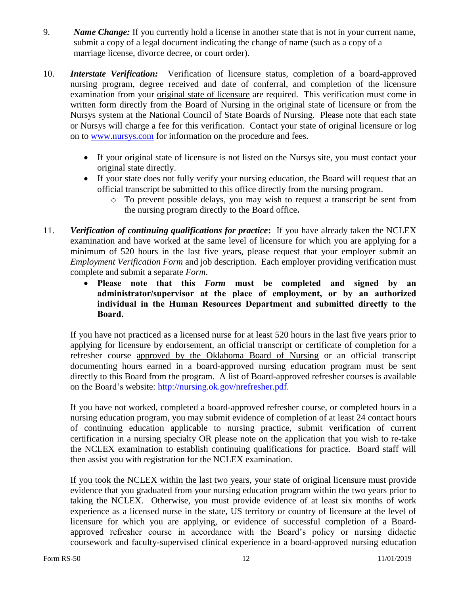- 9. *Name Change:* If you currently hold a license in another state that is not in your current name, submit a copy of a legal document indicating the change of name (such as a copy of a marriage license, divorce decree, or court order).
- 10. *Interstate Verification:* Verification of licensure status, completion of a board-approved nursing program, degree received and date of conferral, and completion of the licensure examination from your original state of licensure are required. This verification must come in written form directly from the Board of Nursing in the original state of licensure or from the Nursys system at the National Council of State Boards of Nursing. Please note that each state or Nursys will charge a fee for this verification. Contact your state of original licensure or log on to [www.nursys.com](http://www.nursys.com/) for information on the procedure and fees.
	- If your original state of licensure is not listed on the Nursys site, you must contact your original state directly.
	- If your state does not fully verify your nursing education, the Board will request that an official transcript be submitted to this office directly from the nursing program.
		- o To prevent possible delays, you may wish to request a transcript be sent from the nursing program directly to the Board office**.**
- 11. *Verification of continuing qualifications for practice***:** If you have already taken the NCLEX examination and have worked at the same level of licensure for which you are applying for a minimum of 520 hours in the last five years, please request that your employer submit an *Employment Verification Form* and job description. Each employer providing verification must complete and submit a separate *Form*.
	- **Please note that this** *Form* **must be completed and signed by an administrator/supervisor at the place of employment, or by an authorized individual in the Human Resources Department and submitted directly to the Board.**

If you have not practiced as a licensed nurse for at least 520 hours in the last five years prior to applying for licensure by endorsement, an official transcript or certificate of completion for a refresher course approved by the Oklahoma Board of Nursing or an official transcript documenting hours earned in a board-approved nursing education program must be sent directly to this Board from the program. A list of Board-approved refresher courses is available on the Board's website: [http://nursing.ok.gov/nrefresher.pdf.](http://nursing.ok.gov/nrefresher.pdf)

If you have not worked, completed a board-approved refresher course, or completed hours in a nursing education program, you may submit evidence of completion of at least 24 contact hours of continuing education applicable to nursing practice, submit verification of current certification in a nursing specialty OR please note on the application that you wish to re-take the NCLEX examination to establish continuing qualifications for practice. Board staff will then assist you with registration for the NCLEX examination.

If you took the NCLEX within the last two years, your state of original licensure must provide evidence that you graduated from your nursing education program within the two years prior to taking the NCLEX. Otherwise, you must provide evidence of at least six months of work experience as a licensed nurse in the state, US territory or country of licensure at the level of licensure for which you are applying, or evidence of successful completion of a Boardapproved refresher course in accordance with the Board's policy or nursing didactic coursework and faculty-supervised clinical experience in a board-approved nursing education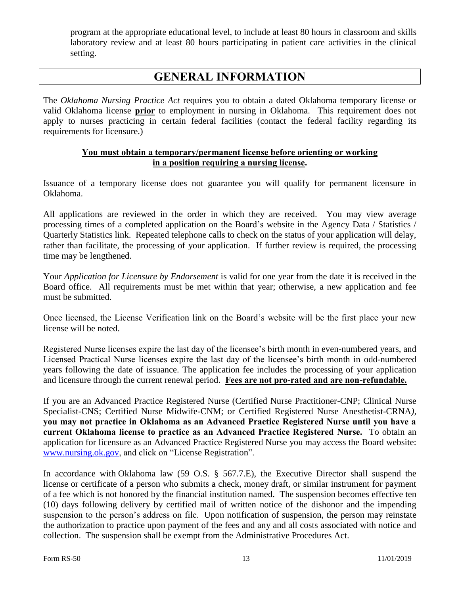program at the appropriate educational level, to include at least 80 hours in classroom and skills laboratory review and at least 80 hours participating in patient care activities in the clinical setting.

## **GENERAL INFORMATION**

The *Oklahoma Nursing Practice Act* requires you to obtain a dated Oklahoma temporary license or valid Oklahoma license **prior** to employment in nursing in Oklahoma. This requirement does not apply to nurses practicing in certain federal facilities (contact the federal facility regarding its requirements for licensure.)

### **You must obtain a temporary/permanent license before orienting or working in a position requiring a nursing license.**

Issuance of a temporary license does not guarantee you will qualify for permanent licensure in Oklahoma.

All applications are reviewed in the order in which they are received. You may view average processing times of a completed application on the Board's website in the Agency Data / Statistics / Quarterly Statistics link. Repeated telephone calls to check on the status of your application will delay, rather than facilitate, the processing of your application. If further review is required, the processing time may be lengthened.

Your *Application for Licensure by Endorsement* is valid for one year from the date it is received in the Board office. All requirements must be met within that year; otherwise, a new application and fee must be submitted.

Once licensed, the License Verification link on the Board's website will be the first place your new license will be noted.

Registered Nurse licenses expire the last day of the licensee's birth month in even-numbered years, and Licensed Practical Nurse licenses expire the last day of the licensee's birth month in odd-numbered years following the date of issuance. The application fee includes the processing of your application and licensure through the current renewal period. **Fees are not pro-rated and are non-refundable.**

If you are an Advanced Practice Registered Nurse (Certified Nurse Practitioner-CNP; Clinical Nurse Specialist-CNS; Certified Nurse Midwife-CNM; or Certified Registered Nurse Anesthetist-CRNA*),*  **you may not practice in Oklahoma as an Advanced Practice Registered Nurse until you have a current Oklahoma license to practice as an Advanced Practice Registered Nurse.** To obtain an application for licensure as an Advanced Practice Registered Nurse you may access the Board website: [www.nursing.ok.gov,](http://www.ok.gov/nursing) and click on "License Registration".

In accordance with Oklahoma law (59 O.S. § 567.7.E), the Executive Director shall suspend the license or certificate of a person who submits a check, money draft, or similar instrument for payment of a fee which is not honored by the financial institution named. The suspension becomes effective ten (10) days following delivery by certified mail of written notice of the dishonor and the impending suspension to the person's address on file. Upon notification of suspension, the person may reinstate the authorization to practice upon payment of the fees and any and all costs associated with notice and collection. The suspension shall be exempt from the Administrative Procedures Act.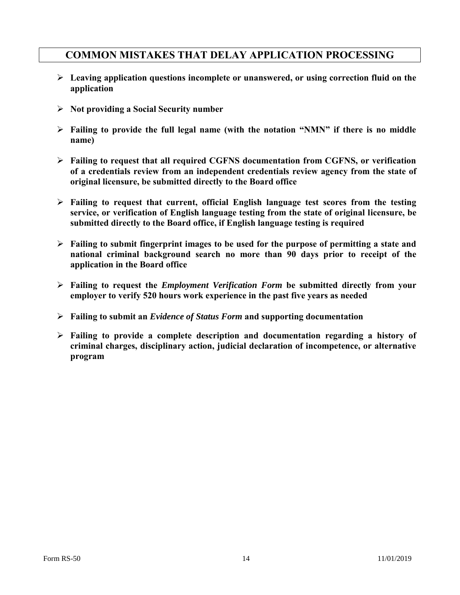### **COMMON MISTAKES THAT DELAY APPLICATION PROCESSING**

- **Leaving application questions incomplete or unanswered, or using correction fluid on the application**
- **Not providing a Social Security number**
- **Failing to provide the full legal name (with the notation "NMN" if there is no middle name)**
- **Failing to request that all required CGFNS documentation from CGFNS, or verification of a credentials review from an independent credentials review agency from the state of original licensure, be submitted directly to the Board office**
- **Failing to request that current, official English language test scores from the testing service, or verification of English language testing from the state of original licensure, be submitted directly to the Board office, if English language testing is required**
- **Failing to submit fingerprint images to be used for the purpose of permitting a state and national criminal background search no more than 90 days prior to receipt of the application in the Board office**
- **Failing to request the** *Employment Verification Form* **be submitted directly from your employer to verify 520 hours work experience in the past five years as needed**
- **Failing to submit an** *Evidence of Status Form* **and supporting documentation**
- **Failing to provide a complete description and documentation regarding a history of criminal charges, disciplinary action, judicial declaration of incompetence, or alternative program**